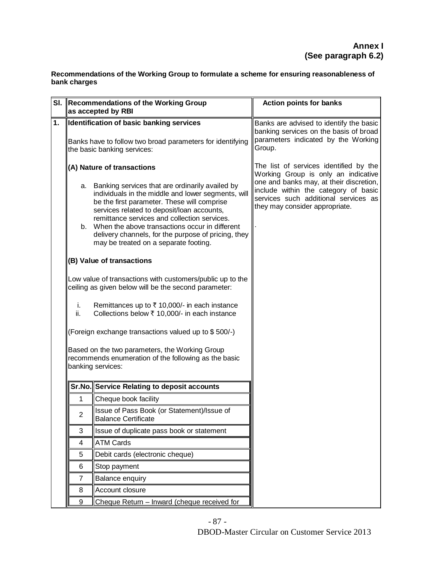**Recommendations of the Working Group to formulate a scheme for ensuring reasonableness of bank charges**

| SI. | Recommendations of the Working Group<br>as accepted by RBI                                                                  |                                                                                                                                                                                                   | <b>Action points for banks</b>                                                                                           |
|-----|-----------------------------------------------------------------------------------------------------------------------------|---------------------------------------------------------------------------------------------------------------------------------------------------------------------------------------------------|--------------------------------------------------------------------------------------------------------------------------|
| 1.  | Identification of basic banking services                                                                                    |                                                                                                                                                                                                   | Banks are advised to identify the basic                                                                                  |
|     | Banks have to follow two broad parameters for identifying<br>the basic banking services:                                    |                                                                                                                                                                                                   | banking services on the basis of broad<br>parameters indicated by the Working<br>Group.                                  |
|     | (A) Nature of transactions<br>a. Banking services that are ordinarily availed by                                            |                                                                                                                                                                                                   | The list of services identified by the<br>Working Group is only an indicative<br>one and banks may, at their discretion, |
|     |                                                                                                                             | individuals in the middle and lower segments, will<br>be the first parameter. These will comprise<br>services related to deposit/loan accounts,                                                   | include within the category of basic<br>services such additional services as<br>they may consider appropriate.           |
|     |                                                                                                                             | remittance services and collection services.<br>b. When the above transactions occur in different<br>delivery channels, for the purpose of pricing, they<br>may be treated on a separate footing. |                                                                                                                          |
|     |                                                                                                                             | (B) Value of transactions                                                                                                                                                                         |                                                                                                                          |
|     | Low value of transactions with customers/public up to the<br>ceiling as given below will be the second parameter:           |                                                                                                                                                                                                   |                                                                                                                          |
|     | i.<br>ii.                                                                                                                   | Remittances up to ₹ 10,000/- in each instance<br>Collections below ₹ 10,000/- in each instance                                                                                                    |                                                                                                                          |
|     | (Foreign exchange transactions valued up to \$500/-)                                                                        |                                                                                                                                                                                                   |                                                                                                                          |
|     | Based on the two parameters, the Working Group<br>recommends enumeration of the following as the basic<br>banking services: |                                                                                                                                                                                                   |                                                                                                                          |
|     |                                                                                                                             | Sr.No. Service Relating to deposit accounts                                                                                                                                                       |                                                                                                                          |
|     | 1.                                                                                                                          | Cheque book facility                                                                                                                                                                              |                                                                                                                          |
|     | $\overline{c}$                                                                                                              | Ilssue of Pass Book (or Statement)/Issue of<br><b>Balance Certificate</b>                                                                                                                         |                                                                                                                          |
|     | 3                                                                                                                           | Issue of duplicate pass book or statement                                                                                                                                                         |                                                                                                                          |
|     | 4                                                                                                                           | <b>ATM Cards</b>                                                                                                                                                                                  |                                                                                                                          |
|     | 5                                                                                                                           | Debit cards (electronic cheque)                                                                                                                                                                   |                                                                                                                          |
|     | 6                                                                                                                           | Stop payment                                                                                                                                                                                      |                                                                                                                          |
|     | 7                                                                                                                           | <b>Balance enquiry</b>                                                                                                                                                                            |                                                                                                                          |
|     | 8                                                                                                                           | Account closure                                                                                                                                                                                   |                                                                                                                          |
|     | 9<br>Cheque Return - Inward (cheque received for                                                                            |                                                                                                                                                                                                   |                                                                                                                          |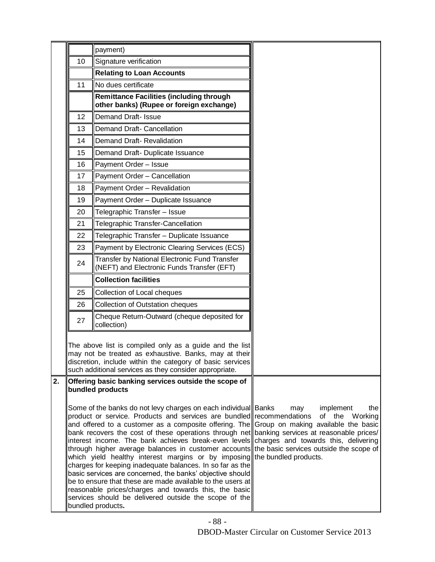|    |    | payment)                                                                                                                                                                                                                                                                                                                                                                                                                                                                                                                                                                                                                                                                                                                                                                                                                                                          |                                           |
|----|----|-------------------------------------------------------------------------------------------------------------------------------------------------------------------------------------------------------------------------------------------------------------------------------------------------------------------------------------------------------------------------------------------------------------------------------------------------------------------------------------------------------------------------------------------------------------------------------------------------------------------------------------------------------------------------------------------------------------------------------------------------------------------------------------------------------------------------------------------------------------------|-------------------------------------------|
|    | 10 | Signature verification                                                                                                                                                                                                                                                                                                                                                                                                                                                                                                                                                                                                                                                                                                                                                                                                                                            |                                           |
|    |    | <b>Relating to Loan Accounts</b>                                                                                                                                                                                                                                                                                                                                                                                                                                                                                                                                                                                                                                                                                                                                                                                                                                  |                                           |
|    | 11 | No dues certificate                                                                                                                                                                                                                                                                                                                                                                                                                                                                                                                                                                                                                                                                                                                                                                                                                                               |                                           |
|    |    | <b>Remittance Facilities (including through</b><br>other banks) (Rupee or foreign exchange)                                                                                                                                                                                                                                                                                                                                                                                                                                                                                                                                                                                                                                                                                                                                                                       |                                           |
|    | 12 | Demand Draft- Issue                                                                                                                                                                                                                                                                                                                                                                                                                                                                                                                                                                                                                                                                                                                                                                                                                                               |                                           |
|    | 13 | Demand Draft- Cancellation                                                                                                                                                                                                                                                                                                                                                                                                                                                                                                                                                                                                                                                                                                                                                                                                                                        |                                           |
|    | 14 | Demand Draft- Revalidation                                                                                                                                                                                                                                                                                                                                                                                                                                                                                                                                                                                                                                                                                                                                                                                                                                        |                                           |
|    | 15 | Demand Draft- Duplicate Issuance                                                                                                                                                                                                                                                                                                                                                                                                                                                                                                                                                                                                                                                                                                                                                                                                                                  |                                           |
|    | 16 | Payment Order - Issue                                                                                                                                                                                                                                                                                                                                                                                                                                                                                                                                                                                                                                                                                                                                                                                                                                             |                                           |
|    | 17 | Payment Order - Cancellation                                                                                                                                                                                                                                                                                                                                                                                                                                                                                                                                                                                                                                                                                                                                                                                                                                      |                                           |
|    | 18 | Payment Order - Revalidation                                                                                                                                                                                                                                                                                                                                                                                                                                                                                                                                                                                                                                                                                                                                                                                                                                      |                                           |
|    | 19 | Payment Order - Duplicate Issuance                                                                                                                                                                                                                                                                                                                                                                                                                                                                                                                                                                                                                                                                                                                                                                                                                                |                                           |
|    | 20 | Telegraphic Transfer - Issue                                                                                                                                                                                                                                                                                                                                                                                                                                                                                                                                                                                                                                                                                                                                                                                                                                      |                                           |
|    | 21 | Telegraphic Transfer-Cancellation                                                                                                                                                                                                                                                                                                                                                                                                                                                                                                                                                                                                                                                                                                                                                                                                                                 |                                           |
|    | 22 | Telegraphic Transfer - Duplicate Issuance                                                                                                                                                                                                                                                                                                                                                                                                                                                                                                                                                                                                                                                                                                                                                                                                                         |                                           |
|    | 23 | Payment by Electronic Clearing Services (ECS)                                                                                                                                                                                                                                                                                                                                                                                                                                                                                                                                                                                                                                                                                                                                                                                                                     |                                           |
|    | 24 | Transfer by National Electronic Fund Transfer<br>(NEFT) and Electronic Funds Transfer (EFT)                                                                                                                                                                                                                                                                                                                                                                                                                                                                                                                                                                                                                                                                                                                                                                       |                                           |
|    |    | <b>Collection facilities</b>                                                                                                                                                                                                                                                                                                                                                                                                                                                                                                                                                                                                                                                                                                                                                                                                                                      |                                           |
|    | 25 | Collection of Local cheques                                                                                                                                                                                                                                                                                                                                                                                                                                                                                                                                                                                                                                                                                                                                                                                                                                       |                                           |
|    | 26 | Collection of Outstation cheques                                                                                                                                                                                                                                                                                                                                                                                                                                                                                                                                                                                                                                                                                                                                                                                                                                  |                                           |
|    | 27 | Cheque Return-Outward (cheque deposited for<br>collection)                                                                                                                                                                                                                                                                                                                                                                                                                                                                                                                                                                                                                                                                                                                                                                                                        |                                           |
|    |    | The above list is compiled only as a guide and the list<br>may not be treated as exhaustive. Banks, may at their<br>discretion, include within the category of basic services<br>such additional services as they consider appropriate.                                                                                                                                                                                                                                                                                                                                                                                                                                                                                                                                                                                                                           |                                           |
| 2. |    | Offering basic banking services outside the scope of<br>bundled products                                                                                                                                                                                                                                                                                                                                                                                                                                                                                                                                                                                                                                                                                                                                                                                          |                                           |
|    |    | Some of the banks do not levy charges on each individual Banks<br>product or service. Products and services are bundled recommendations<br>and offered to a customer as a composite offering. The Group on making available the basic<br>bank recovers the cost of these operations through net banking services at reasonable prices/<br>interest income. The bank achieves break-even levels charges and towards this, delivering<br>through higher average balances in customer accounts the basic services outside the scope of<br>which yield healthy interest margins or by imposing the bundled products.<br>charges for keeping inadequate balances. In so far as the<br>basic services are concerned, the banks' objective should<br>be to ensure that these are made available to the users at<br>reasonable prices/charges and towards this, the basic | implement<br>the<br>may<br>of the Working |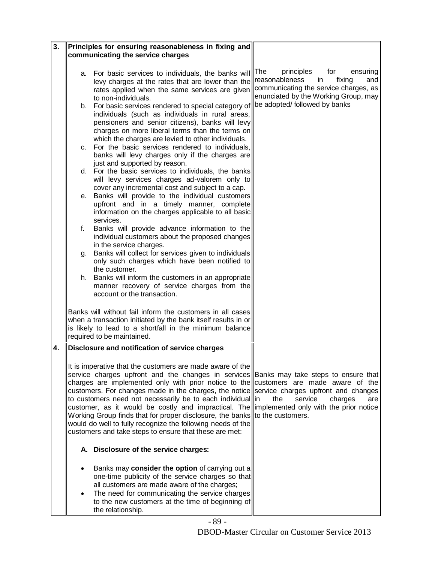| 3. |                                                                                                                                                                                                                                                                                                                                                                                                                                                                                                                                                                                                                                                                                                                              | Principles for ensuring reasonableness in fixing and                                                                                                                                                                                                                            |                                                                                                                                                                                          |
|----|------------------------------------------------------------------------------------------------------------------------------------------------------------------------------------------------------------------------------------------------------------------------------------------------------------------------------------------------------------------------------------------------------------------------------------------------------------------------------------------------------------------------------------------------------------------------------------------------------------------------------------------------------------------------------------------------------------------------------|---------------------------------------------------------------------------------------------------------------------------------------------------------------------------------------------------------------------------------------------------------------------------------|------------------------------------------------------------------------------------------------------------------------------------------------------------------------------------------|
|    |                                                                                                                                                                                                                                                                                                                                                                                                                                                                                                                                                                                                                                                                                                                              | communicating the service charges                                                                                                                                                                                                                                               |                                                                                                                                                                                          |
|    | а.                                                                                                                                                                                                                                                                                                                                                                                                                                                                                                                                                                                                                                                                                                                           | For basic services to individuals, the banks will The<br>levy charges at the rates that are lower than the<br>rates applied when the same services are given<br>to non-individuals.<br>b. For basic services rendered to special category of                                    | for<br>principles<br>ensuring<br>reasonableness<br>in<br>fixing<br>and<br>communicating the service charges, as<br>enunciated by the Working Group, may<br>be adopted/ followed by banks |
|    |                                                                                                                                                                                                                                                                                                                                                                                                                                                                                                                                                                                                                                                                                                                              | individuals (such as individuals in rural areas,<br>pensioners and senior citizens), banks will levy<br>charges on more liberal terms than the terms on<br>which the charges are levied to other individuals.<br>c. For the basic services rendered to individuals,             |                                                                                                                                                                                          |
|    |                                                                                                                                                                                                                                                                                                                                                                                                                                                                                                                                                                                                                                                                                                                              | banks will levy charges only if the charges are<br>just and supported by reason.                                                                                                                                                                                                |                                                                                                                                                                                          |
|    |                                                                                                                                                                                                                                                                                                                                                                                                                                                                                                                                                                                                                                                                                                                              | d. For the basic services to individuals, the banks<br>will levy services charges ad-valorem only to<br>cover any incremental cost and subject to a cap.                                                                                                                        |                                                                                                                                                                                          |
|    | е.                                                                                                                                                                                                                                                                                                                                                                                                                                                                                                                                                                                                                                                                                                                           | Banks will provide to the individual customers<br>upfront and in a timely manner, complete<br>information on the charges applicable to all basic<br>services.                                                                                                                   |                                                                                                                                                                                          |
|    | f.                                                                                                                                                                                                                                                                                                                                                                                                                                                                                                                                                                                                                                                                                                                           | Banks will provide advance information to the<br>individual customers about the proposed changes<br>in the service charges.                                                                                                                                                     |                                                                                                                                                                                          |
|    | g.                                                                                                                                                                                                                                                                                                                                                                                                                                                                                                                                                                                                                                                                                                                           | Banks will collect for services given to individuals<br>only such charges which have been notified to<br>the customer.                                                                                                                                                          |                                                                                                                                                                                          |
|    |                                                                                                                                                                                                                                                                                                                                                                                                                                                                                                                                                                                                                                                                                                                              | h. Banks will inform the customers in an appropriate<br>manner recovery of service charges from the<br>account or the transaction.                                                                                                                                              |                                                                                                                                                                                          |
|    |                                                                                                                                                                                                                                                                                                                                                                                                                                                                                                                                                                                                                                                                                                                              | Banks will without fail inform the customers in all cases<br>when a transaction initiated by the bank itself results in or<br>is likely to lead to a shortfall in the minimum balance<br>required to be maintained.                                                             |                                                                                                                                                                                          |
| 4. |                                                                                                                                                                                                                                                                                                                                                                                                                                                                                                                                                                                                                                                                                                                              | Disclosure and notification of service charges                                                                                                                                                                                                                                  |                                                                                                                                                                                          |
|    | It is imperative that the customers are made aware of the $\parallel$<br>service charges upfront and the changes in services Banks may take steps to ensure that<br>charges are implemented only with prior notice to the customers are made aware of the<br>customers. For changes made in the charges, the notice service charges upfront and changes<br>to customers need not necessarily be to each individual in<br>customer, as it would be costly and impractical. The implemented only with the prior notice<br>Working Group finds that for proper disclosure, the banks to the customers.<br>would do well to fully recognize the following needs of the<br>customers and take steps to ensure that these are met: |                                                                                                                                                                                                                                                                                 | the<br>service<br>charges<br>are                                                                                                                                                         |
|    |                                                                                                                                                                                                                                                                                                                                                                                                                                                                                                                                                                                                                                                                                                                              | A. Disclosure of the service charges:                                                                                                                                                                                                                                           |                                                                                                                                                                                          |
|    |                                                                                                                                                                                                                                                                                                                                                                                                                                                                                                                                                                                                                                                                                                                              | Banks may consider the option of carrying out a<br>one-time publicity of the service charges so that<br>all customers are made aware of the charges;<br>The need for communicating the service charges<br>to the new customers at the time of beginning of<br>the relationship. |                                                                                                                                                                                          |